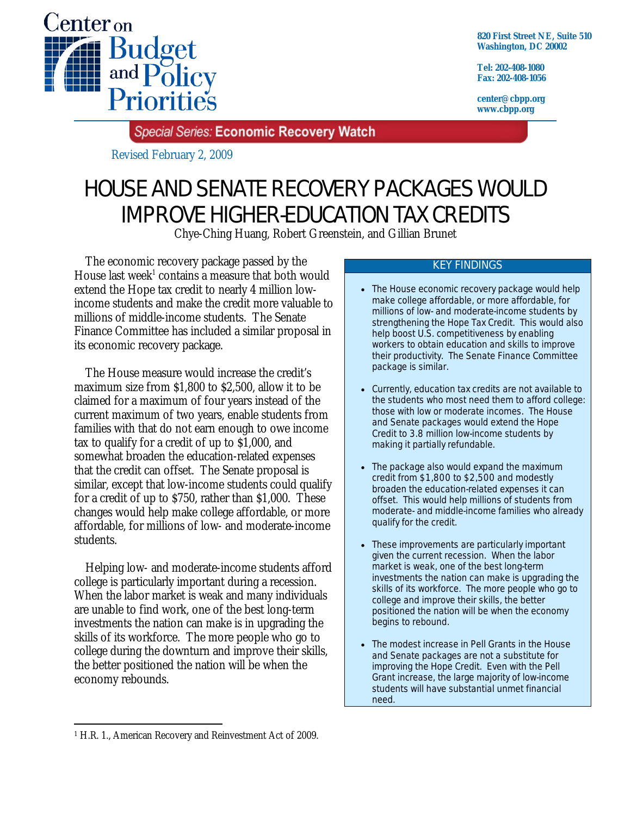

**820 First Street NE, Suite 510 Washington, DC 20002** 

**Tel: 202-408-1080 Fax: 202-408-1056** 

**center@cbpp.org www.cbpp.org** 

Special Series: Economic Recovery Watch

Revised February 2, 2009

# HOUSE AND SENATE RECOVERY PACKAGES WOULD IMPROVE HIGHER-EDUCATION TAX CREDITS

Chye-Ching Huang, Robert Greenstein, and Gillian Brunet

 The economic recovery package passed by the House last week<sup>1</sup> contains a measure that both would extend the Hope tax credit to nearly 4 million lowincome students and make the credit more valuable to millions of middle-income students. The Senate Finance Committee has included a similar proposal in its economic recovery package.

 The House measure would increase the credit's maximum size from \$1,800 to \$2,500, allow it to be claimed for a maximum of four years instead of the current maximum of two years, enable students from families with that do not earn enough to owe income tax to qualify for a credit of up to \$1,000, and somewhat broaden the education-related expenses that the credit can offset. The Senate proposal is similar, except that low-income students could qualify for a credit of up to \$750, rather than \$1,000. These changes would help make college affordable, or more affordable, for millions of low- and moderate-income students.

Helping low- and moderate-income students afford college is particularly important during a recession. When the labor market is weak and many individuals are unable to find work, one of the best long-term investments the nation can make is in upgrading the skills of its workforce. The more people who go to college during the downturn and improve their skills, the better positioned the nation will be when the economy rebounds.

#### KEY FINDINGS

- The House economic recovery package would help make college affordable, or more affordable, for millions of low- and moderate-income students by strengthening the Hope Tax Credit. This would also help boost U.S. competitiveness by enabling workers to obtain education and skills to improve their productivity. The Senate Finance Committee package is similar.
- Currently, education tax credits are not available to the students who most need them to afford college: those with low or moderate incomes. The House and Senate packages would extend the Hope Credit to 3.8 million low-income students by making it partially refundable.
- The package also would expand the maximum credit from \$1,800 to \$2,500 and modestly broaden the education-related expenses it can offset. This would help millions of students from moderate- and middle-income families who already qualify for the credit.
- These improvements are particularly important given the current recession. When the labor market is weak, one of the best long-term investments the nation can make is upgrading the skills of its workforce. The more people who go to college and improve their skills, the better positioned the nation will be when the economy begins to rebound.
- The modest increase in Pell Grants in the House and Senate packages are not a substitute for improving the Hope Credit. Even with the Pell Grant increase, the large majority of low-income students will have substantial unmet financial need.

<sup>-</sup>1 H.R. 1., American Recovery and Reinvestment Act of 2009.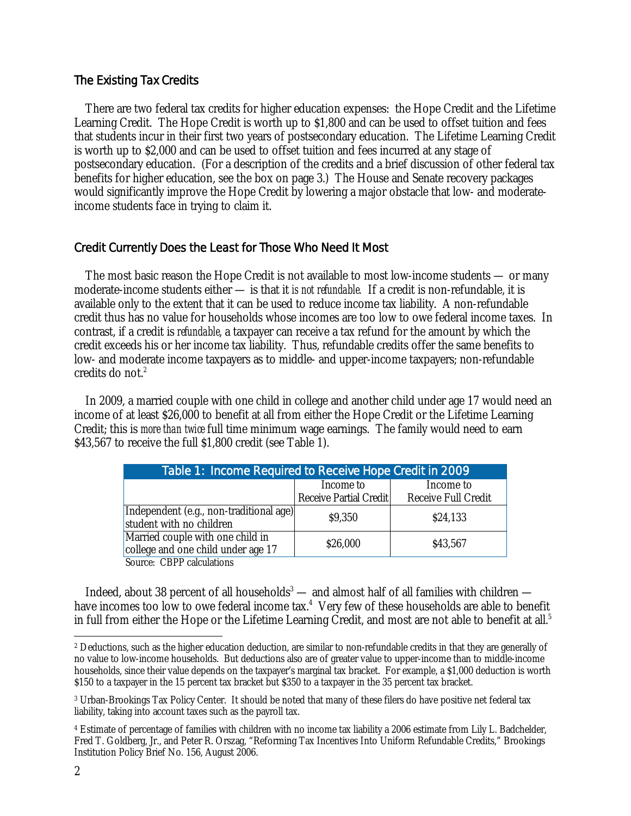# The Existing Tax Credits

 There are two federal tax credits for higher education expenses: the Hope Credit and the Lifetime Learning Credit. The Hope Credit is worth up to \$1,800 and can be used to offset tuition and fees that students incur in their first two years of postsecondary education. The Lifetime Learning Credit is worth up to \$2,000 and can be used to offset tuition and fees incurred at any stage of postsecondary education. (For a description of the credits and a brief discussion of other federal tax benefits for higher education, see the box on page 3.) The House and Senate recovery packages would significantly improve the Hope Credit by lowering a major obstacle that low- and moderateincome students face in trying to claim it.

# Credit Currently Does the Least for Those Who Need It Most

The most basic reason the Hope Credit is not available to most low-income students — or many moderate-income students either — is that it *is not refundable.* If a credit is non-refundable, it is available only to the extent that it can be used to reduce income tax liability. A non-refundable credit thus has no value for households whose incomes are too low to owe federal income taxes. In contrast, if a credit is *refundable*, a taxpayer can receive a tax refund for the amount by which the credit exceeds his or her income tax liability. Thus, refundable credits offer the same benefits to low- and moderate income taxpayers as to middle- and upper-income taxpayers; non-refundable credits do not  $2$ .

 In 2009, a married couple with one child in college and another child under age 17 would need an income of at least \$26,000 to benefit at all from either the Hope Credit or the Lifetime Learning Credit; this is *more than twice* full time minimum wage earnings. The family would need to earn \$43,567 to receive the full \$1,800 credit (see Table 1).

| Table 1: Income Required to Receive Hope Credit in 2009                |                                     |                                  |  |  |
|------------------------------------------------------------------------|-------------------------------------|----------------------------------|--|--|
|                                                                        | Income to<br>Receive Partial Credit | Income to<br>Receive Full Credit |  |  |
| Independent (e.g., non-traditional age)<br>student with no children    | \$9,350                             | \$24,133                         |  |  |
| Married couple with one child in<br>college and one child under age 17 | \$26,000                            | \$43,567                         |  |  |
| Source: CBPP calculations                                              |                                     |                                  |  |  |

Indeed, about 38 percent of all households<sup>3</sup> — and almost half of all families with children have incomes too low to owe federal income tax.<sup>4</sup> Very few of these households are able to benefit in full from either the Hope or the Lifetime Learning Credit, and most are not able to benefit at all. $^5$ 

<sup>-</sup>2 Deductions, such as the higher education deduction, are similar to non-refundable credits in that they are generally of no value to low-income households. But deductions also are of greater value to upper-income than to middle-income households, since their value depends on the taxpayer's marginal tax bracket. For example, a \$1,000 deduction is worth \$150 to a taxpayer in the 15 percent tax bracket but \$350 to a taxpayer in the 35 percent tax bracket.

<sup>3</sup> Urban-Brookings Tax Policy Center. It should be noted that many of these filers do have positive net federal tax liability, taking into account taxes such as the payroll tax.

<sup>4</sup> Estimate of percentage of families with children with no income tax liability a 2006 estimate from Lily L. Badchelder, Fred T. Goldberg, Jr., and Peter R. Orszag, "Reforming Tax Incentives Into Uniform Refundable Credits," Brookings Institution Policy Brief No. 156, August 2006.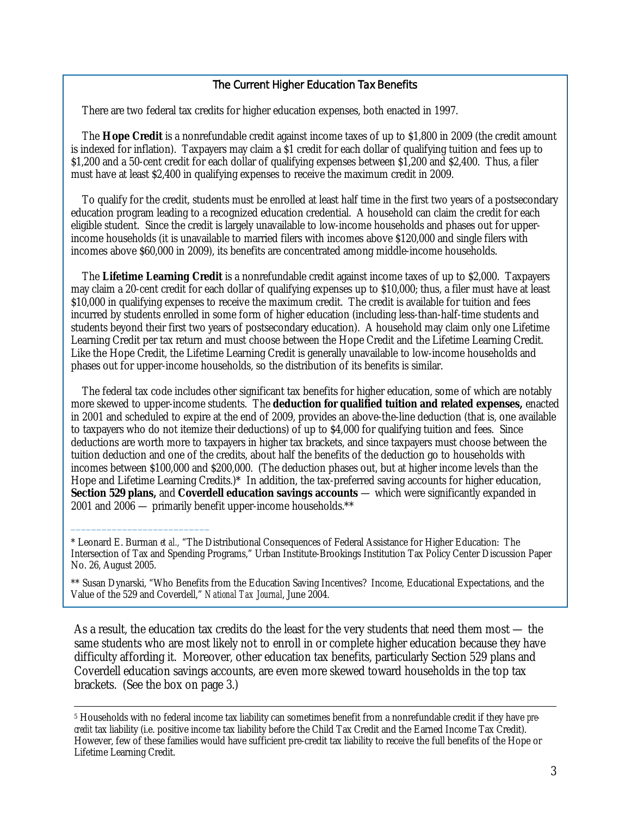### The Current Higher Education Tax Benefits

There are two federal tax credits for higher education expenses, both enacted in 1997.

 The **Hope Credit** is a nonrefundable credit against income taxes of up to \$1,800 in 2009 (the credit amount is indexed for inflation). Taxpayers may claim a \$1 credit for each dollar of qualifying tuition and fees up to \$1,200 and a 50-cent credit for each dollar of qualifying expenses between \$1,200 and \$2,400. Thus, a filer must have at least \$2,400 in qualifying expenses to receive the maximum credit in 2009.

 To qualify for the credit, students must be enrolled at least half time in the first two years of a postsecondary education program leading to a recognized education credential. A household can claim the credit for each eligible student. Since the credit is largely unavailable to low-income households and phases out for upperincome households (it is unavailable to married filers with incomes above \$120,000 and single filers with incomes above \$60,000 in 2009), its benefits are concentrated among middle-income households.

 The **Lifetime Learning Credit** is a nonrefundable credit against income taxes of up to \$2,000. Taxpayers may claim a 20-cent credit for each dollar of qualifying expenses up to \$10,000; thus, a filer must have at least \$10,000 in qualifying expenses to receive the maximum credit. The credit is available for tuition and fees incurred by students enrolled in some form of higher education (including less-than-half-time students and students beyond their first two years of postsecondary education). A household may claim only one Lifetime Learning Credit per tax return and must choose between the Hope Credit and the Lifetime Learning Credit. Like the Hope Credit, the Lifetime Learning Credit is generally unavailable to low-income households and phases out for upper-income households, so the distribution of its benefits is similar.

 The federal tax code includes other significant tax benefits for higher education, some of which are notably more skewed to upper-income students. The **deduction for qualified tuition and related expenses,** enacted in 2001 and scheduled to expire at the end of 2009, provides an above-the-line deduction (that is, one available to taxpayers who do not itemize their deductions) of up to \$4,000 for qualifying tuition and fees. Since deductions are worth more to taxpayers in higher tax brackets, and since taxpayers must choose between the tuition deduction and one of the credits, about half the benefits of the deduction go to households with incomes between \$100,000 and \$200,000. (The deduction phases out, but at higher income levels than the Hope and Lifetime Learning Credits.)\* In addition, the tax-preferred saving accounts for higher education, **Section 529 plans,** and **Coverdell education savings accounts** — which were significantly expanded in 2001 and 2006 — primarily benefit upper-income households.\*\*

\_\_\_\_\_\_\_\_\_\_\_\_\_\_\_\_\_\_\_\_\_\_\_\_\_\_\_

As a result, the education tax credits do the least for the very students that need them most — the same students who are most likely not to enroll in or complete higher education because they have difficulty affording it. Moreover, other education tax benefits, particularly Section 529 plans and Coverdell education savings accounts, are even more skewed toward households in the top tax brackets. (See the box on page 3.)

<sup>\*</sup> Leonard E. Burman *et al.,* "The Distributional Consequences of Federal Assistance for Higher Education: The Intersection of Tax and Spending Programs," Urban Institute-Brookings Institution Tax Policy Center Discussion Paper No. 26, August 2005.

<sup>\*\*</sup> Susan Dynarski, "Who Benefits from the Education Saving Incentives? Income, Educational Expectations, and the Value of the 529 and Coverdell," *National Tax Journal*, June 2004.

 <sup>5</sup> Households with no federal income tax liability can sometimes benefit from a nonrefundable credit if they have *precredit* tax liability (i.e. positive income tax liability before the Child Tax Credit and the Earned Income Tax Credit). However, few of these families would have sufficient pre-credit tax liability to receive the full benefits of the Hope or Lifetime Learning Credit.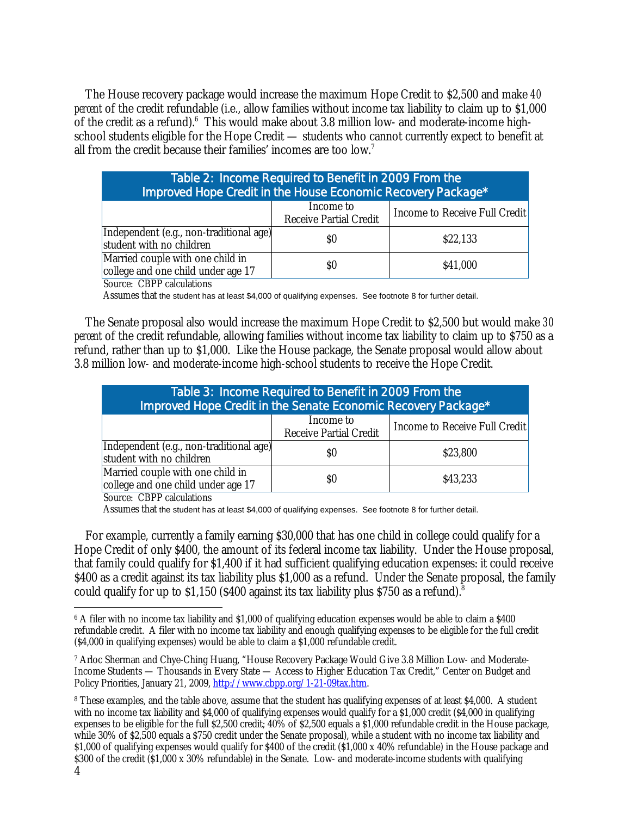The House recovery package would increase the maximum Hope Credit to \$2,500 and make *40 percent* of the credit refundable (i.e., allow families without income tax liability to claim up to \$1,000 of the credit as a refund). $6$  This would make about 3.8 million low- and moderate-income highschool students eligible for the Hope Credit — students who cannot currently expect to benefit at all from the credit because their families' incomes are too low.<sup>7</sup>

| Table 2: Income Required to Benefit in 2009 From the<br>Improved Hope Credit in the House Economic Recovery Package* |                                     |                               |  |
|----------------------------------------------------------------------------------------------------------------------|-------------------------------------|-------------------------------|--|
|                                                                                                                      | Income to<br>Receive Partial Credit | Income to Receive Full Credit |  |
| Independent (e.g., non-traditional age)<br>student with no children                                                  | \$O                                 | \$22,133                      |  |
| Married couple with one child in<br>college and one child under age 17                                               | $\$0$                               | \$41,000                      |  |
| Source: CBPP calculations                                                                                            |                                     |                               |  |

Assumes that the student has at least \$4,000 of qualifying expenses. See footnote 8 for further detail.

 The Senate proposal also would increase the maximum Hope Credit to \$2,500 but would make *30 percent* of the credit refundable, allowing families without income tax liability to claim up to \$750 as a refund, rather than up to \$1,000. Like the House package, the Senate proposal would allow about 3.8 million low- and moderate-income high-school students to receive the Hope Credit.

| Table 3: Income Required to Benefit in 2009 From the<br>Improved Hope Credit in the Senate Economic Recovery Package* |                                     |                               |  |
|-----------------------------------------------------------------------------------------------------------------------|-------------------------------------|-------------------------------|--|
|                                                                                                                       | Income to<br>Receive Partial Credit | Income to Receive Full Credit |  |
| Independent (e.g., non-traditional age)<br>student with no children                                                   | S0                                  | \$23,800                      |  |
| Married couple with one child in<br>college and one child under age 17                                                | \$0                                 | \$43,233                      |  |

Source: CBPP calculations

Assumes that the student has at least \$4,000 of qualifying expenses. See footnote 8 for further detail.

 For example, currently a family earning \$30,000 that has one child in college could qualify for a Hope Credit of only \$400, the amount of its federal income tax liability. Under the House proposal, that family could qualify for \$1,400 if it had sufficient qualifying education expenses: it could receive \$400 as a credit against its tax liability plus \$1,000 as a refund. Under the Senate proposal, the family could qualify for up to  $$1,150$  ( $$400$  against its tax liability plus  $$750$  as a refund).<sup>8</sup>

 $\overline{a}$ <sup>6</sup> A filer with no income tax liability and \$1,000 of qualifying education expenses would be able to claim a \$400 refundable credit. A filer with no income tax liability and enough qualifying expenses to be eligible for the full credit (\$4,000 in qualifying expenses) would be able to claim a \$1,000 refundable credit.

<sup>7</sup> Arloc Sherman and Chye-Ching Huang, "House Recovery Package Would Give 3.8 Million Low- and Moderate-Income Students — Thousands in Every State — Access to Higher Education Tax Credit," Center on Budget and Policy Priorities, January 21, 2009, http://www.cbpp.org/1-21-09tax.htm.

<sup>8</sup> These examples, and the table above, assume that the student has qualifying expenses of at least \$4,000. A student with no income tax liability and \$4,000 of qualifying expenses would qualify for a \$1,000 credit (\$4,000 in qualifying expenses to be eligible for the full \$2,500 credit; 40% of \$2,500 equals a \$1,000 refundable credit in the House package, while 30% of \$2,500 equals a \$750 credit under the Senate proposal), while a student with no income tax liability and \$1,000 of qualifying expenses would qualify for \$400 of the credit (\$1,000 x 40% refundable) in the House package and \$300 of the credit (\$1,000 x 30% refundable) in the Senate. Low- and moderate-income students with qualifying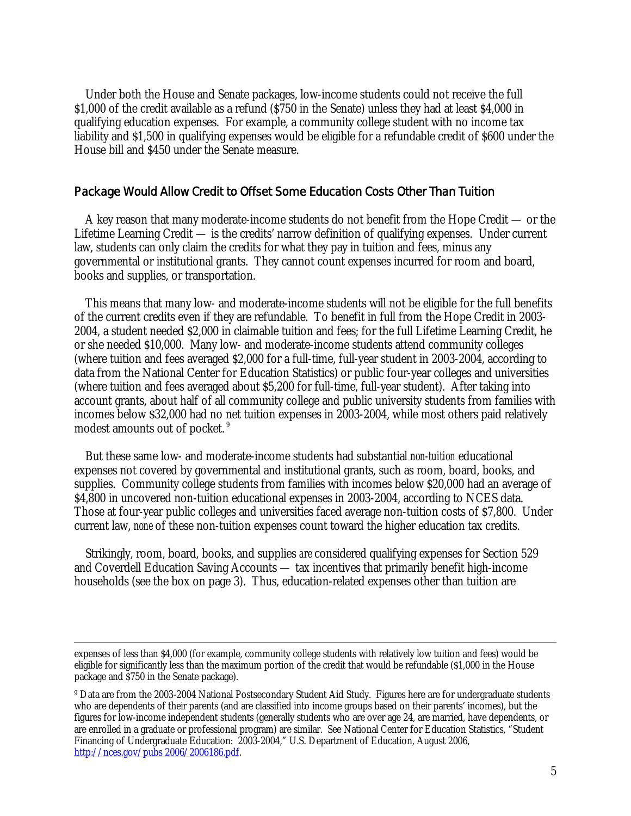Under both the House and Senate packages, low-income students could not receive the full \$1,000 of the credit available as a refund (\$750 in the Senate) unless they had at least \$4,000 in qualifying education expenses. For example, a community college student with no income tax liability and \$1,500 in qualifying expenses would be eligible for a refundable credit of \$600 under the House bill and \$450 under the Senate measure.

## Package Would Allow Credit to Offset Some Education Costs Other Than Tuition

 A key reason that many moderate-income students do not benefit from the Hope Credit — or the Lifetime Learning Credit — is the credits' narrow definition of qualifying expenses. Under current law, students can only claim the credits for what they pay in tuition and fees, minus any governmental or institutional grants. They cannot count expenses incurred for room and board, books and supplies, or transportation.

 This means that many low- and moderate-income students will not be eligible for the full benefits of the current credits even if they are refundable. To benefit in full from the Hope Credit in 2003- 2004, a student needed \$2,000 in claimable tuition and fees; for the full Lifetime Learning Credit, he or she needed \$10,000. Many low- and moderate-income students attend community colleges (where tuition and fees averaged \$2,000 for a full-time, full-year student in 2003-2004, according to data from the National Center for Education Statistics) or public four-year colleges and universities (where tuition and fees averaged about \$5,200 for full-time, full-year student). After taking into account grants, about half of all community college and public university students from families with incomes below \$32,000 had no net tuition expenses in 2003-2004, while most others paid relatively modest amounts out of pocket. 9

 But these same low- and moderate-income students had substantial *non-tuition* educational expenses not covered by governmental and institutional grants, such as room, board, books, and supplies. Community college students from families with incomes below \$20,000 had an average of \$4,800 in uncovered non-tuition educational expenses in 2003-2004, according to NCES data. Those at four-year public colleges and universities faced average non-tuition costs of \$7,800. Under current law, *none* of these non-tuition expenses count toward the higher education tax credits.

 Strikingly, room, board, books, and supplies *are* considered qualifying expenses for Section 529 and Coverdell Education Saving Accounts — tax incentives that primarily benefit high-income households (see the box on page 3). Thus, education-related expenses other than tuition are

expenses of less than \$4,000 (for example, community college students with relatively low tuition and fees) would be eligible for significantly less than the maximum portion of the credit that would be refundable (\$1,000 in the House package and \$750 in the Senate package).

<sup>9</sup> Data are from the 2003-2004 National Postsecondary Student Aid Study. Figures here are for undergraduate students who are dependents of their parents (and are classified into income groups based on their parents' incomes), but the figures for low-income independent students (generally students who are over age 24, are married, have dependents, or are enrolled in a graduate or professional program) are similar. See National Center for Education Statistics, "Student Financing of Undergraduate Education: 2003-2004," U.S. Department of Education, August 2006, http://nces.gov/pubs 2006/2006186.pdf.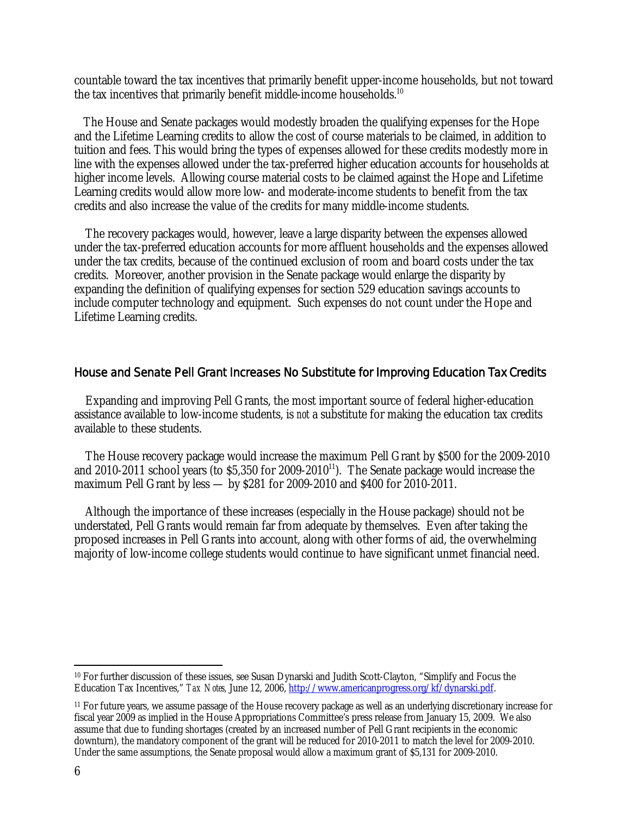countable toward the tax incentives that primarily benefit upper-income households, but not toward the tax incentives that primarily benefit middle-income households.<sup>10</sup>

 The House and Senate packages would modestly broaden the qualifying expenses for the Hope and the Lifetime Learning credits to allow the cost of course materials to be claimed, in addition to tuition and fees. This would bring the types of expenses allowed for these credits modestly more in line with the expenses allowed under the tax-preferred higher education accounts for households at higher income levels. Allowing course material costs to be claimed against the Hope and Lifetime Learning credits would allow more low- and moderate-income students to benefit from the tax credits and also increase the value of the credits for many middle-income students.

The recovery packages would, however, leave a large disparity between the expenses allowed under the tax-preferred education accounts for more affluent households and the expenses allowed under the tax credits, because of the continued exclusion of room and board costs under the tax credits. Moreover, another provision in the Senate package would enlarge the disparity by expanding the definition of qualifying expenses for section 529 education savings accounts to include computer technology and equipment. Such expenses do not count under the Hope and Lifetime Learning credits.

## House and Senate Pell Grant Increases No Substitute for Improving Education Tax Credits

Expanding and improving Pell Grants, the most important source of federal higher-education assistance available to low-income students, is *not* a substitute for making the education tax credits available to these students.

The House recovery package would increase the maximum Pell Grant by \$500 for the 2009-2010 and 2010-2011 school years (to  $$5,350$  for 2009-2010<sup>11</sup>). The Senate package would increase the maximum Pell Grant by less — by \$281 for 2009-2010 and \$400 for 2010-2011.

Although the importance of these increases (especially in the House package) should not be understated, Pell Grants would remain far from adequate by themselves. Even after taking the proposed increases in Pell Grants into account, along with other forms of aid, the overwhelming majority of low-income college students would continue to have significant unmet financial need.

<sup>11</sup> For future years, we assume passage of the House recovery package as well as an underlying discretionary increase for fiscal year 2009 as implied in the House Appropriations Committee's press release from January 15, 2009. We also assume that due to funding shortages (created by an increased number of Pell Grant recipients in the economic downturn), the mandatory component of the grant will be reduced for 2010-2011 to match the level for 2009-2010. Under the same assumptions, the Senate proposal would allow a maximum grant of \$5,131 for 2009-2010.

-

<sup>10</sup> For further discussion of these issues, see Susan Dynarski and Judith Scott-Clayton, "Simplify and Focus the Education Tax Incentives," *Tax Notes,* June 12, 2006, http://www.americanprogress.org/kf/dynarski.pdf.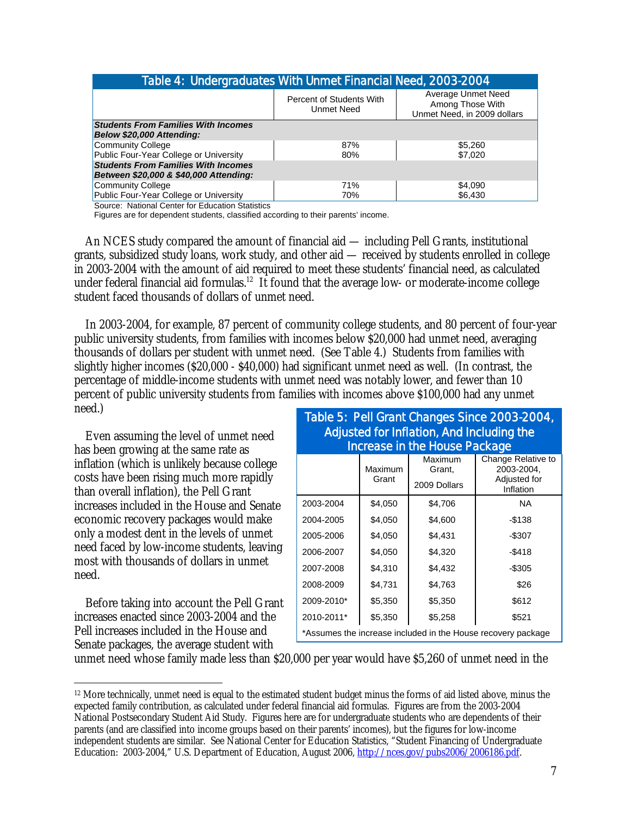| Table 4: Undergraduates With Unmet Financial Need, 2003-2004 |                                               |                                                                       |  |  |
|--------------------------------------------------------------|-----------------------------------------------|-----------------------------------------------------------------------|--|--|
|                                                              | Percent of Students With<br><b>Unmet Need</b> | Average Unmet Need<br>Among Those With<br>Unmet Need, in 2009 dollars |  |  |
| <b>Students From Families With Incomes</b>                   |                                               |                                                                       |  |  |
| Below \$20,000 Attending:                                    |                                               |                                                                       |  |  |
| <b>Community College</b>                                     | 87%                                           | \$5,260                                                               |  |  |
| Public Four-Year College or University                       | 80%                                           | \$7,020                                                               |  |  |
| <b>Students From Families With Incomes</b>                   |                                               |                                                                       |  |  |
| Between \$20,000 & \$40,000 Attending:                       |                                               |                                                                       |  |  |
| <b>Community College</b>                                     | 71%                                           | \$4,090                                                               |  |  |
| Public Four-Year College or University                       | 70%                                           | \$6,430                                                               |  |  |
| Course: National Conter for Education Statistics             |                                               |                                                                       |  |  |

Source: National Center for Education Statistics

Figures are for dependent students, classified according to their parents' income.

 An NCES study compared the amount of financial aid — including Pell Grants, institutional grants, subsidized study loans, work study, and other aid — received by students enrolled in college in 2003-2004 with the amount of aid required to meet these students' financial need, as calculated under federal financial aid formulas.<sup>12</sup> It found that the average low- or moderate-income college student faced thousands of dollars of unmet need.

 In 2003-2004, for example, 87 percent of community college students, and 80 percent of four-year public university students, from families with incomes below \$20,000 had unmet need, averaging thousands of dollars per student with unmet need. (See Table 4.) Students from families with slightly higher incomes (\$20,000 - \$40,000) had significant unmet need as well. (In contrast, the percentage of middle-income students with unmet need was notably lower, and fewer than 10 percent of public university students from families with incomes above \$100,000 had any unmet need.)

 Even assuming the level of unmet need has been growing at the same rate as inflation (which is unlikely because college costs have been rising much more rapidly than overall inflation), the Pell Grant increases included in the House and Senate economic recovery packages would make only a modest dent in the levels of unmet need faced by low-income students, leaving most with thousands of dollars in unmet need.

Before taking into account the Pell Grant increases enacted since 2003-2004 and the Pell increases included in the House and Senate packages, the average student with

 $\overline{a}$ 

# Table 5: Pell Grant Changes Since 2003-2004, Adjusted for Inflation, And Including the Increase in the House Package

|                                                              | Maximum<br>Grant | Maximum<br>Grant,<br>2009 Dollars | Change Relative to<br>2003-2004.<br>Adjusted for<br>Inflation |  |
|--------------------------------------------------------------|------------------|-----------------------------------|---------------------------------------------------------------|--|
| 2003-2004                                                    | \$4,050          | \$4,706                           | <b>NA</b>                                                     |  |
| 2004-2005                                                    | \$4,050          | \$4,600                           | $-$138$                                                       |  |
| 2005-2006                                                    | \$4,050          | \$4,431                           | $-$ \$307                                                     |  |
| 2006-2007                                                    | \$4,050          | \$4,320                           | $-$ \$418                                                     |  |
| 2007-2008                                                    | \$4,310          | \$4,432                           | $-$ \$305                                                     |  |
| 2008-2009                                                    | \$4,731          | \$4,763                           | \$26                                                          |  |
| 2009-2010*                                                   | \$5,350          | \$5,350                           | \$612                                                         |  |
| 2010-2011*                                                   | \$5,350          | \$5,258                           | \$521                                                         |  |
| *Assumes the increase included in the House recovery package |                  |                                   |                                                               |  |

unmet need whose family made less than \$20,000 per year would have \$5,260 of unmet need in the

<sup>12</sup> More technically, unmet need is equal to the estimated student budget minus the forms of aid listed above, minus the expected family contribution, as calculated under federal financial aid formulas. Figures are from the 2003-2004 National Postsecondary Student Aid Study. Figures here are for undergraduate students who are dependents of their parents (and are classified into income groups based on their parents' incomes), but the figures for low-income independent students are similar. See National Center for Education Statistics, "Student Financing of Undergraduate Education: 2003-2004," U.S. Department of Education, August 2006, http://nces.gov/pubs2006/2006186.pdf.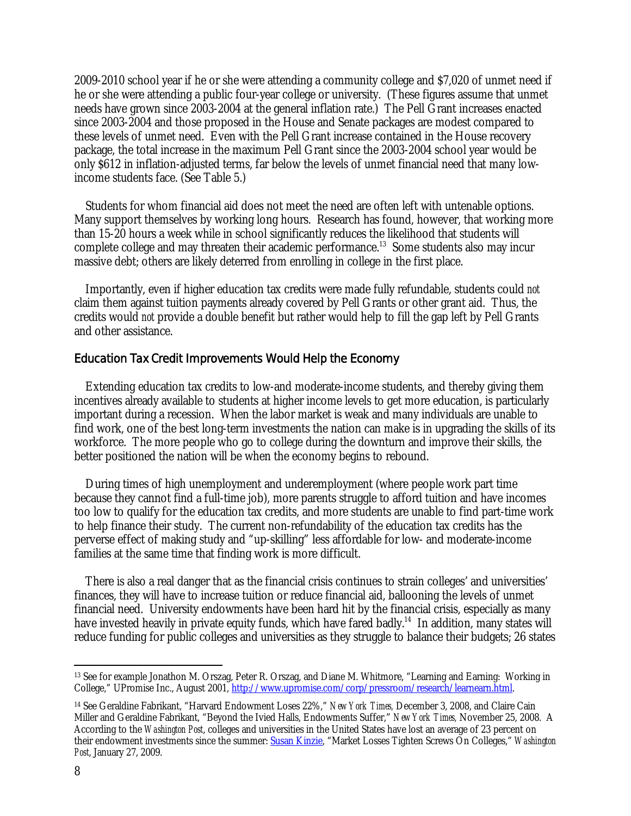2009-2010 school year if he or she were attending a community college and \$7,020 of unmet need if he or she were attending a public four-year college or university. (These figures assume that unmet needs have grown since 2003-2004 at the general inflation rate.) The Pell Grant increases enacted since 2003-2004 and those proposed in the House and Senate packages are modest compared to these levels of unmet need. Even with the Pell Grant increase contained in the House recovery package, the total increase in the maximum Pell Grant since the 2003-2004 school year would be only \$612 in inflation-adjusted terms, far below the levels of unmet financial need that many lowincome students face. (See Table 5.)

 Students for whom financial aid does not meet the need are often left with untenable options. Many support themselves by working long hours. Research has found, however, that working more than 15-20 hours a week while in school significantly reduces the likelihood that students will complete college and may threaten their academic performance.<sup>13</sup> Some students also may incur massive debt; others are likely deterred from enrolling in college in the first place.

 Importantly, even if higher education tax credits were made fully refundable, students could *not* claim them against tuition payments already covered by Pell Grants or other grant aid. Thus, the credits would *not* provide a double benefit but rather would help to fill the gap left by Pell Grants and other assistance.

## Education Tax Credit Improvements Would Help the Economy

Extending education tax credits to low-and moderate-income students, and thereby giving them incentives already available to students at higher income levels to get more education, is particularly important during a recession. When the labor market is weak and many individuals are unable to find work, one of the best long-term investments the nation can make is in upgrading the skills of its workforce. The more people who go to college during the downturn and improve their skills, the better positioned the nation will be when the economy begins to rebound.

During times of high unemployment and underemployment (where people work part time because they cannot find a full-time job), more parents struggle to afford tuition and have incomes too low to qualify for the education tax credits, and more students are unable to find part-time work to help finance their study. The current non-refundability of the education tax credits has the perverse effect of making study and "up-skilling" less affordable for low- and moderate-income families at the same time that finding work is more difficult.

 There is also a real danger that as the financial crisis continues to strain colleges' and universities' finances, they will have to increase tuition or reduce financial aid, ballooning the levels of unmet financial need. University endowments have been hard hit by the financial crisis, especially as many have invested heavily in private equity funds, which have fared badly.<sup>14</sup> In addition, many states will reduce funding for public colleges and universities as they struggle to balance their budgets; 26 states

 $\overline{a}$ 13 See for example Jonathon M. Orszag, Peter R. Orszag, and Diane M. Whitmore, "Learning and Earning: Working in College," UPromise Inc., August 2001, http://www.upromise.com/corp/pressroom/research/learnearn.html.

<sup>14</sup> See Geraldine Fabrikant, "Harvard Endowment Loses 22%," *New York Times,* December 3, 2008, and Claire Cain Miller and Geraldine Fabrikant, "Beyond the Ivied Halls, Endowments Suffer," *New York Times,* November 25, 2008. A According to the *Washington Post*, colleges and universities in the United States have lost an average of 23 percent on their endowment investments since the summer: Susan Kinzie, "Market Losses Tighten Screws On Colleges," *Washington Post*, January 27, 2009.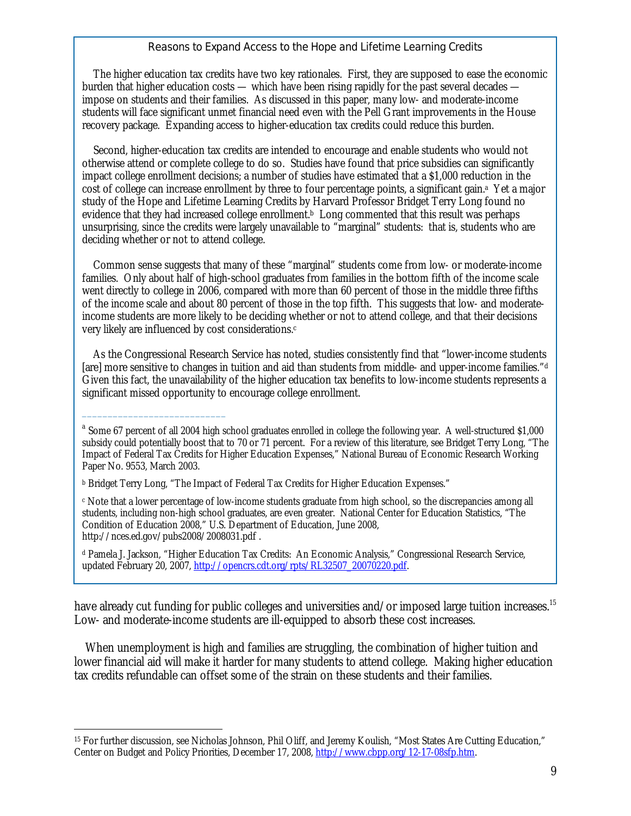### Reasons to Expand Access to the Hope and Lifetime Learning Credits

The higher education tax credits have two key rationales. First, they are supposed to ease the economic burden that higher education costs — which have been rising rapidly for the past several decades impose on students and their families. As discussed in this paper, many low- and moderate-income students will face significant unmet financial need even with the Pell Grant improvements in the House recovery package. Expanding access to higher-education tax credits could reduce this burden.

 Second, higher-education tax credits are intended to encourage and enable students who would not otherwise attend or complete college to do so. Studies have found that price subsidies can significantly impact college enrollment decisions; a number of studies have estimated that a \$1,000 reduction in the cost of college can increase enrollment by three to four percentage points, a significant gain.<sup>3</sup> Yet a major study of the Hope and Lifetime Learning Credits by Harvard Professor Bridget Terry Long found no evidence that they had increased college enrollment.<sup>b</sup> Long commented that this result was perhaps unsurprising, since the credits were largely unavailable to "marginal" students: that is, students who are deciding whether or not to attend college.

 Common sense suggests that many of these "marginal" students come from low- or moderate-income families. Only about half of high-school graduates from families in the bottom fifth of the income scale went directly to college in 2006, compared with more than 60 percent of those in the middle three fifths of the income scale and about 80 percent of those in the top fifth. This suggests that low- and moderateincome students are more likely to be deciding whether or not to attend college, and that their decisions very likely are influenced by cost considerations.<sup>c</sup>

 As the Congressional Research Service has noted, studies consistently find that "lower-income students [are] more sensitive to changes in tuition and aid than students from middle- and upper-income families."d Given this fact, the unavailability of the higher education tax benefits to low-income students represents a significant missed opportunity to encourage college enrollment.

\_\_\_\_\_\_\_\_\_\_\_\_\_\_\_\_\_\_\_\_\_\_\_\_\_\_\_\_

have already cut funding for public colleges and universities and/or imposed large tuition increases.<sup>15</sup> Low- and moderate-income students are ill-equipped to absorb these cost increases.

 When unemployment is high and families are struggling, the combination of higher tuition and lower financial aid will make it harder for many students to attend college. Making higher education tax credits refundable can offset some of the strain on these students and their families.

<sup>&</sup>lt;sup>a</sup> Some 67 percent of all 2004 high school graduates enrolled in college the following year. A well-structured \$1,000 subsidy could potentially boost that to 70 or 71 percent. For a review of this literature, see Bridget Terry Long, "The Impact of Federal Tax Credits for Higher Education Expenses," National Bureau of Economic Research Working Paper No. 9553, March 2003.

b Bridget Terry Long, "The Impact of Federal Tax Credits for Higher Education Expenses."

c Note that a lower percentage of low-income students graduate from high school, so the discrepancies among all students, including non-high school graduates, are even greater. National Center for Education Statistics, "The Condition of Education 2008," U.S. Department of Education, June 2008, http://nces.ed.gov/pubs2008/2008031.pdf .

d Pamela J. Jackson, "Higher Education Tax Credits: An Economic Analysis," Congressional Research Service, updated February 20, 2007, http://opencrs.cdt.org/rpts/RL32507\_20070220.pdf.

<sup>-</sup>15 For further discussion, see Nicholas Johnson, Phil Oliff, and Jeremy Koulish, "Most States Are Cutting Education," Center on Budget and Policy Priorities, December 17, 2008, http://www.cbpp.org/12-17-08sfp.htm.